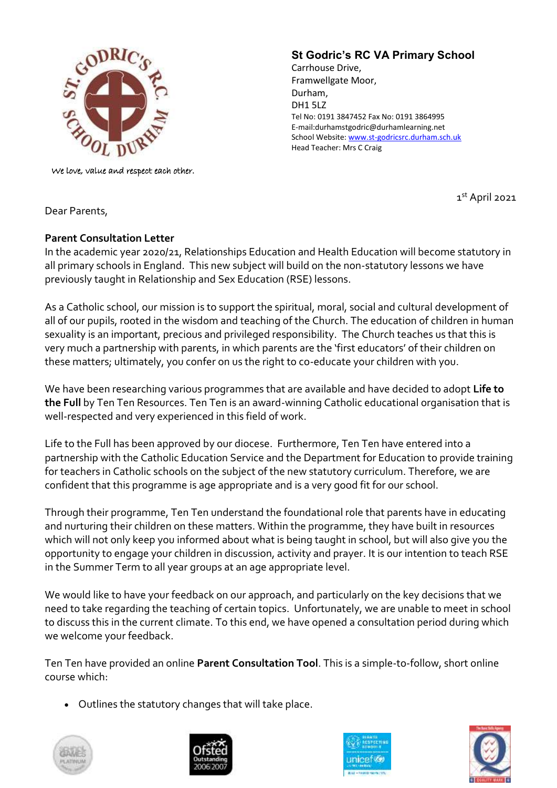

We love, value and respect each other.

## **St Godric's RC VA Primary School**

Carrhouse Drive, Framwellgate Moor, Durham, DH1 5LZ Tel No: 0191 3847452 Fax No: 0191 3864995 E-mail:durhamstgodric@durhamlearning.net School Website[: www.st-godricsrc.durham.sch.uk](http://www.st-godricsrc.durham.sch.uk/) Head Teacher: Mrs C Craig

1 st April 2021

Dear Parents,

## **Parent Consultation Letter**

In the academic year 2020/21, Relationships Education and Health Education will become statutory in all primary schools in England. This new subject will build on the non-statutory lessons we have previously taught in Relationship and Sex Education (RSE) lessons.

As a Catholic school, our mission is to support the spiritual, moral, social and cultural development of all of our pupils, rooted in the wisdom and teaching of the Church. The education of children in human sexuality is an important, precious and privileged responsibility. The Church teaches us that this is very much a partnership with parents, in which parents are the 'first educators' of their children on these matters; ultimately, you confer on us the right to co-educate your children with you.

We have been researching various programmes that are available and have decided to adopt **Life to the Full** by Ten Ten Resources. Ten Ten is an award-winning Catholic educational organisation that is well-respected and very experienced in this field of work.

Life to the Full has been approved by our diocese. Furthermore, Ten Ten have entered into a partnership with the Catholic Education Service and the Department for Education to provide training for teachers in Catholic schools on the subject of the new statutory curriculum. Therefore, we are confident that this programme is age appropriate and is a very good fit for our school.

Through their programme, Ten Ten understand the foundational role that parents have in educating and nurturing their children on these matters. Within the programme, they have built in resources which will not only keep you informed about what is being taught in school, but will also give you the opportunity to engage your children in discussion, activity and prayer. It is our intention to teach RSE in the Summer Term to all year groups at an age appropriate level.

We would like to have your feedback on our approach, and particularly on the key decisions that we need to take regarding the teaching of certain topics. Unfortunately, we are unable to meet in school to discuss this in the current climate. To this end, we have opened a consultation period during which we welcome your feedback.

Ten Ten have provided an online **Parent Consultation Tool**. This is a simple-to-follow, short online course which:

• Outlines the statutory changes that will take place.